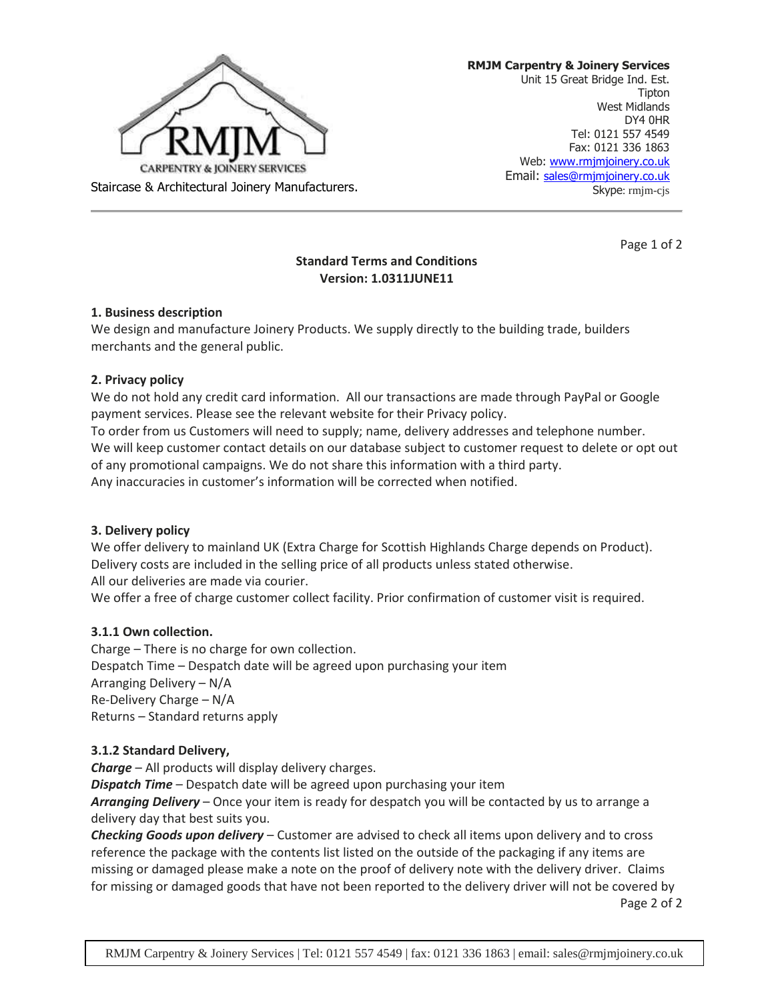

**RMJM Carpentry & Joinery Services** Unit 15 Great Bridge Ind. Est. Tipton West Midlands DY4 0HR Tel: 0121 557 4549 Fax: 0121 336 1863 Web: [www.rmjmjoinery.co.uk](http://www.rmjmjoinery.co.uk/) Email: [sales@rmjmjoinery.co.uk](mailto:sales@rmjmjoinery.co.uk) Skype: rmjm-cjs

Page 1 of 2

# **Standard Terms and Conditions Version: 1.0311JUNE11**

### **1. Business description**

We design and manufacture Joinery Products. We supply directly to the building trade, builders merchants and the general public.

#### **2. Privacy policy**

We do not hold any credit card information. All our transactions are made through PayPal or Google payment services. Please see the relevant website for their Privacy policy. To order from us Customers will need to supply; name, delivery addresses and telephone number. We will keep customer contact details on our database subject to customer request to delete or opt out of any promotional campaigns. We do not share this information with a third party. Any inaccuracies in customer's information will be corrected when notified.

### **3. Delivery policy**

We offer delivery to mainland UK (Extra Charge for Scottish Highlands Charge depends on Product). Delivery costs are included in the selling price of all products unless stated otherwise. All our deliveries are made via courier.

We offer a free of charge customer collect facility. Prior confirmation of customer visit is required.

### **3.1.1 Own collection.**

Charge – There is no charge for own collection. Despatch Time – Despatch date will be agreed upon purchasing your item Arranging Delivery – N/A Re-Delivery Charge – N/A Returns – Standard returns apply

### **3.1.2 Standard Delivery,**

*Charge* – All products will display delivery charges.

*Dispatch Time* – Despatch date will be agreed upon purchasing your item

*Arranging Delivery* – Once your item is ready for despatch you will be contacted by us to arrange a delivery day that best suits you.

*Checking Goods upon delivery* – Customer are advised to check all items upon delivery and to cross reference the package with the contents list listed on the outside of the packaging if any items are missing or damaged please make a note on the proof of delivery note with the delivery driver. Claims for missing or damaged goods that have not been reported to the delivery driver will not be covered by

Page 2 of 2